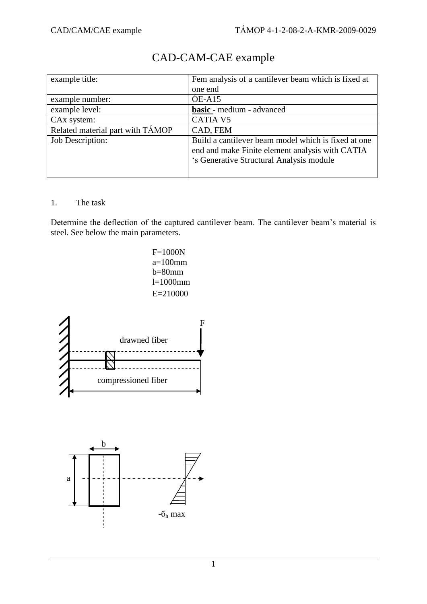| example title:                   | Fem analysis of a cantilever beam which is fixed at                                                                                                |
|----------------------------------|----------------------------------------------------------------------------------------------------------------------------------------------------|
|                                  | one end                                                                                                                                            |
| example number:                  | $OE- A15$                                                                                                                                          |
| example level:                   | basic - medium - advanced                                                                                                                          |
| CAx system:                      | <b>CATIA V5</b>                                                                                                                                    |
| Related material part with TAMOP | CAD, FEM                                                                                                                                           |
| <b>Job Description:</b>          | Build a cantilever beam model which is fixed at one<br>end and make Finite element analysis with CATIA<br>'s Generative Structural Analysis module |

## CAD-CAM-CAE example

### 1. The task

Determine the deflection of the captured cantilever beam. The cantilever beam"s material is steel. See below the main parameters.





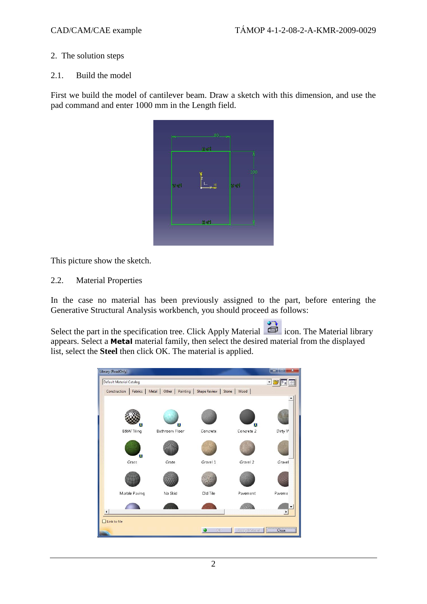#### 2. The solution steps

#### 2.1. Build the model

First we build the model of cantilever beam. Draw a sketch with this dimension, and use the pad command and enter 1000 mm in the Length field.



This picture show the sketch.

2.2. Material Properties

In the case no material has been previously assigned to the part, before entering the Generative Structural Analysis workbench, you should proceed as follows:

Select the part in the specification tree. Click Apply Material  $\Box$  icon. The Material library appears. Select a **Metal** material family, then select the desired material from the displayed list, select the **Steel** then click OK. The material is applied.

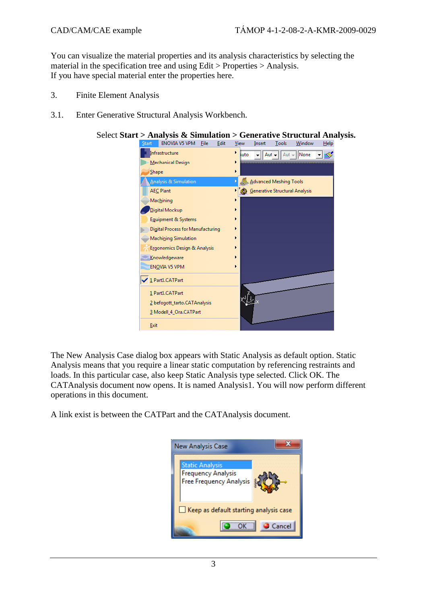You can visualize the material properties and its analysis characteristics by selecting the material in the specification tree and using Edit > Properties > Analysis. If you have special material enter the properties here.

- 3. Finite Element Analysis
- 3.1. Enter Generative Structural Analysis Workbench.



# Select **Start > Analysis & Simulation > Generative Structural Analysis.**<br>Start LENOVIA V5 VPM Eile Edit View Insert Lools Window Help

The New Analysis Case dialog box appears with Static Analysis as default option. Static Analysis means that you require a linear static computation by referencing restraints and loads. In this particular case, also keep Static Analysis type selected. Click OK. The CATAnalysis document now opens. It is named Analysis1. You will now perform different operations in this document.

A link exist is between the CATPart and the CATAnalysis document.

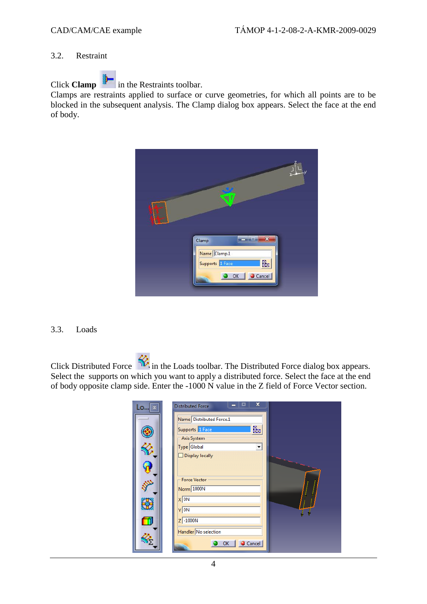#### 3.2. Restraint

Click **Clamp** in the Restraints toolbar.

Clamps are restraints applied to surface or curve geometries, for which all points are to be blocked in the subsequent analysis. The Clamp dialog box appears. Select the face at the end of body.



#### 3.3. Loads

Click Distributed Force  $\mathcal{R}$  in the Loads toolbar. The Distributed Force dialog box appears. Select the supports on which you want to apply a distributed force. Select the face at the end of body opposite clamp side. Enter the -1000 N value in the Z field of Force Vector section.

| Lo × | ×<br>▬<br><b>Distributed Force</b> |  |
|------|------------------------------------|--|
|      | Name Distributed Force.1           |  |
|      | ₩<br>Supports 1 Face               |  |
|      | Axis System                        |  |
|      | Type Global                        |  |
|      | $\Box$ Display locally             |  |
|      |                                    |  |
|      | <b>Force Vector</b>                |  |
|      | Norm 1000N                         |  |
|      | $x\sqrt{ON}$                       |  |
|      | $Y$ ON                             |  |
| ш    | $Z$ -1000N                         |  |
|      | Handler No selection               |  |
|      |                                    |  |
|      | Cancel<br>OK                       |  |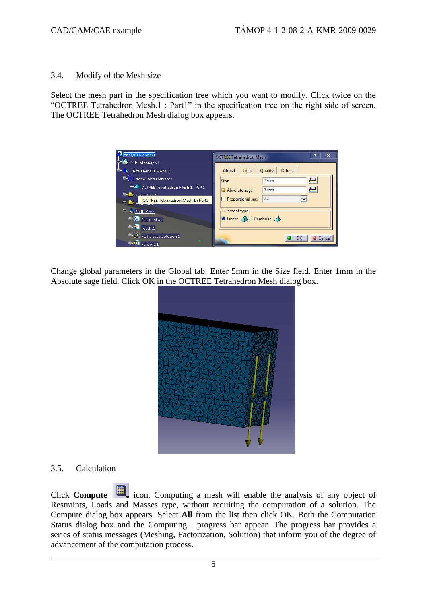#### 3.4. Modify of the Mesh size

Select the mesh part in the specification tree which you want to modify. Click twice on the "OCTREE Tetrahedron Mesh.1 : Part1" in the specification tree on the right side of screen. The OCTREE Tetrahedron Mesh dialog box appears.

| <b>Analysis Manager</b><br><b>C-Bo</b> Links Manager.1             | $\mathbf x$<br><b>OCTREE Tetrahedron Mesh</b>                |
|--------------------------------------------------------------------|--------------------------------------------------------------|
| Finite Element Model.1                                             | Quality<br>Others<br>Global Local                            |
| <b>Elsi Nodes and Elements</b>                                     | 噕<br>5 <sub>mm</sub><br>Size:                                |
| OCTREE Tetrahedron Mesh.1: Part1<br><b>Comp<sub>ress</sub>tive</b> | $\equiv$<br>1 <sub>mm</sub><br>Absolute sag:                 |
| OCTREE Tetrahedron Mesh.1 : Part1                                  | 0.2 <br>Proportional sag:                                    |
| Static Case                                                        | <b>Element type</b>                                          |
| $-3$ Restraints.1                                                  | $\bullet$ Linear $\bigtriangleup$ Parabolic $\bigtriangleup$ |
| $ \frac{1}{2}$ Toads.1.                                            |                                                              |
| Static Case Solution.1<br>w<br><b>d</b> Sensors.1                  | Cancel<br>ок                                                 |

Change global parameters in the Global tab. Enter 5mm in the Size field. Enter 1mm in the Absolute sage field. Click OK in the OCTREE Tetrahedron Mesh dialog box.



#### 3.5. Calculation

Click **Compute** icon. Computing a mesh will enable the analysis of any object of Restraints, Loads and Masses type, without requiring the computation of a solution. The Compute dialog box appears. Select **All** from the list then click OK. Both the Computation Status dialog box and the Computing... progress bar appear. The progress bar provides a series of status messages (Meshing, Factorization, Solution) that inform you of the degree of advancement of the computation process.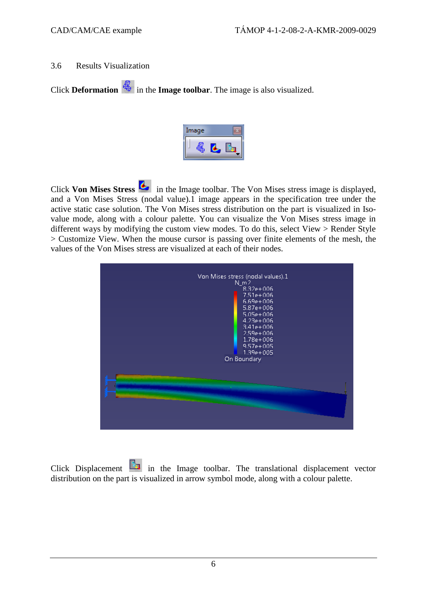#### 3.6 Results Visualization

Click **Deformation**  $\frac{d\mathbf{x}}{dt}$  in the **Image toolbar**. The image is also visualized.



Click **Von Mises Stress** in the Image toolbar. The Von Mises stress image is displayed, and a Von Mises Stress (nodal value).1 image appears in the specification tree under the active static case solution. The Von Mises stress distribution on the part is visualized in Isovalue mode, along with a colour palette. You can visualize the Von Mises stress image in different ways by modifying the custom view modes. To do this, select View > Render Style > Customize View. When the mouse cursor is passing over finite elements of the mesh, the values of the Von Mises stress are visualized at each of their nodes.



Click Displacement in the Image toolbar. The translational displacement vector distribution on the part is visualized in arrow symbol mode, along with a colour palette.